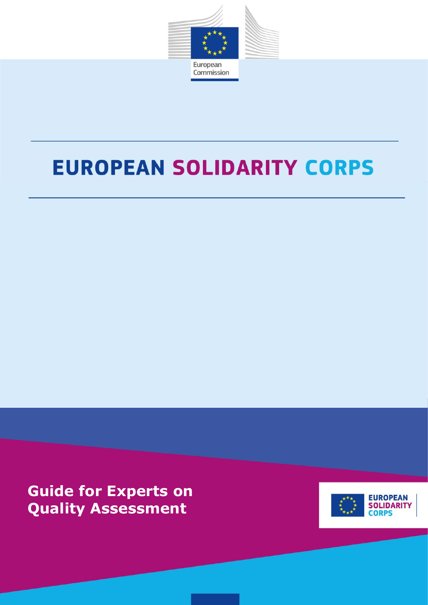

# **EUROPEAN SOLIDARITY CORPS**

**Guide for Experts on Quality Assessment**

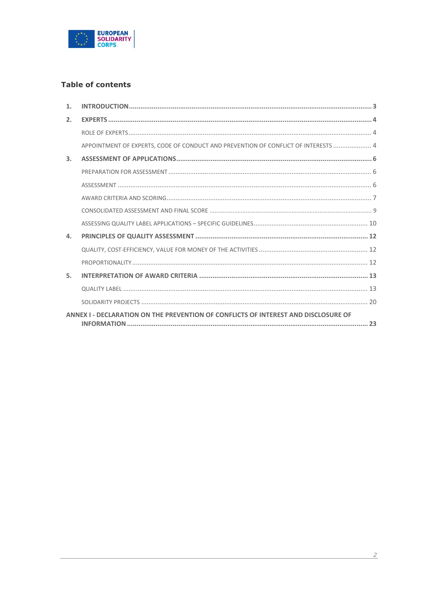

# **Table of contents**

| 1 <sub>1</sub>                                                                     |                                                                                    |  |
|------------------------------------------------------------------------------------|------------------------------------------------------------------------------------|--|
| $\overline{2}$ .                                                                   |                                                                                    |  |
|                                                                                    |                                                                                    |  |
|                                                                                    | APPOINTMENT OF EXPERTS, CODE OF CONDUCT AND PREVENTION OF CONFLICT OF INTERESTS  4 |  |
| 3.                                                                                 |                                                                                    |  |
|                                                                                    |                                                                                    |  |
|                                                                                    |                                                                                    |  |
|                                                                                    |                                                                                    |  |
|                                                                                    |                                                                                    |  |
|                                                                                    |                                                                                    |  |
| $\Delta$ .                                                                         |                                                                                    |  |
|                                                                                    |                                                                                    |  |
|                                                                                    |                                                                                    |  |
| 5.1                                                                                |                                                                                    |  |
|                                                                                    |                                                                                    |  |
|                                                                                    |                                                                                    |  |
| ANNEX I - DECLARATION ON THE PREVENTION OF CONFLICTS OF INTEREST AND DISCLOSURE OF |                                                                                    |  |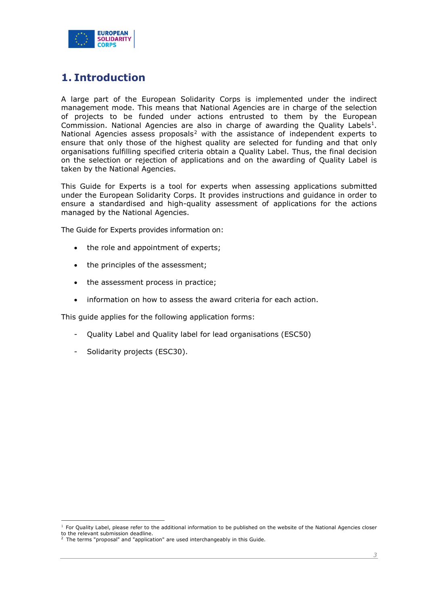

# <span id="page-2-0"></span>**1. Introduction**

A large part of the European Solidarity Corps is implemented under the indirect management mode. This means that National Agencies are in charge of the selection of projects to be funded under actions entrusted to them by the European Commission. National Agencies are also in charge of awarding the Quality Labels<sup>1</sup>. National Agencies assess proposals<sup>[2](#page-2-2)</sup> with the assistance of independent experts to ensure that only those of the highest quality are selected for funding and that only organisations fulfilling specified criteria obtain a Quality Label. Thus, the final decision on the selection or rejection of applications and on the awarding of Quality Label is taken by the National Agencies.

This Guide for Experts is a tool for experts when assessing applications submitted under the European Solidarity Corps. It provides instructions and guidance in order to ensure a standardised and high-quality assessment of applications for the actions managed by the National Agencies.

The Guide for Experts provides information on:

- the role and appointment of experts;
- the principles of the assessment;
- the assessment process in practice;
- information on how to assess the award criteria for each action.

This guide applies for the following application forms:

- Quality Label and Quality label for lead organisations (ESC50)
- Solidarity projects (ESC30).

<span id="page-2-1"></span> $<sup>1</sup>$  For Quality Label, please refer to the additional information to be published on the website of the National Agencies closer</sup> to the relevant submission deadline. <sup>2</sup> The terms "proposal" and "application" are used interchangeably in this Guide.

<span id="page-2-2"></span>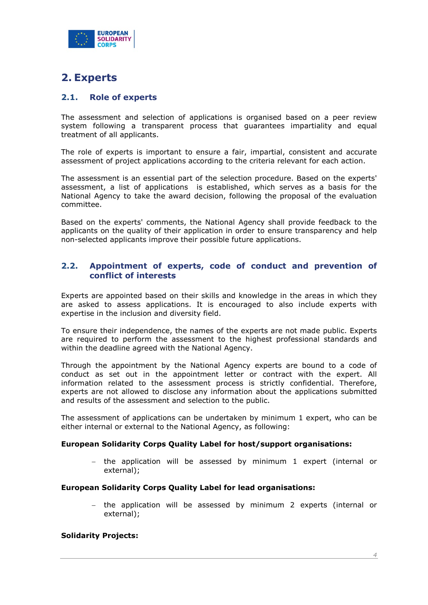

# <span id="page-3-0"></span>**2. Experts**

## <span id="page-3-1"></span>**2.1. Role of experts**

The assessment and selection of applications is organised based on a peer review system following a transparent process that guarantees impartiality and equal treatment of all applicants.

The role of experts is important to ensure a fair, impartial, consistent and accurate assessment of project applications according to the criteria relevant for each action.

The assessment is an essential part of the selection procedure. Based on the experts' assessment, a list of applications is established, which serves as a basis for the National Agency to take the award decision, following the proposal of the evaluation committee.

Based on the experts' comments, the National Agency shall provide feedback to the applicants on the quality of their application in order to ensure transparency and help non-selected applicants improve their possible future applications.

#### <span id="page-3-2"></span>**2.2. Appointment of experts, code of conduct and prevention of conflict of interests**

Experts are appointed based on their skills and knowledge in the areas in which they are asked to assess applications. It is encouraged to also include experts with expertise in the inclusion and diversity field.

To ensure their independence, the names of the experts are not made public. Experts are required to perform the assessment to the highest professional standards and within the deadline agreed with the National Agency.

Through the appointment by the National Agency experts are bound to a code of conduct as set out in the appointment letter or contract with the expert. All information related to the assessment process is strictly confidential. Therefore, experts are not allowed to disclose any information about the applications submitted and results of the assessment and selection to the public.

The assessment of applications can be undertaken by minimum 1 expert, who can be either internal or external to the National Agency, as following:

#### **European Solidarity Corps Quality Label for host/support organisations:**

− the application will be assessed by minimum 1 expert (internal or external);

#### **European Solidarity Corps Quality Label for lead organisations:**

− the application will be assessed by minimum 2 experts (internal or external);

#### **Solidarity Projects:**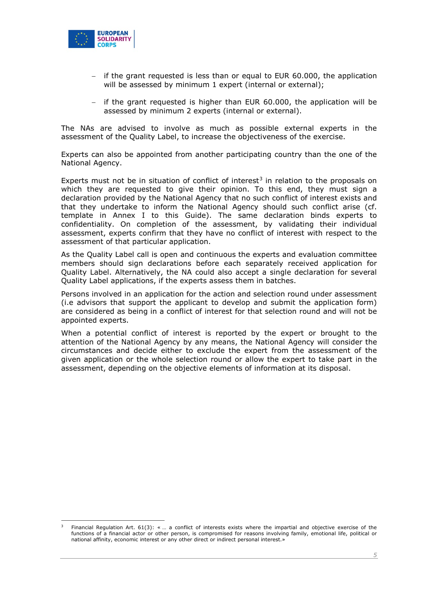

- − if the grant requested is less than or equal to EUR 60.000, the application will be assessed by minimum 1 expert (internal or external):
- − if the grant requested is higher than EUR 60.000, the application will be assessed by minimum 2 experts (internal or external).

The NAs are advised to involve as much as possible external experts in the assessment of the Quality Label, to increase the objectiveness of the exercise.

Experts can also be appointed from another participating country than the one of the National Agency.

Experts must not be in situation of conflict of interest<sup>[3](#page-4-0)</sup> in relation to the proposals on which they are requested to give their opinion. To this end, they must sign a declaration provided by the National Agency that no such conflict of interest exists and that they undertake to inform the National Agency should such conflict arise (cf. template in Annex I to this Guide). The same declaration binds experts to confidentiality. On completion of the assessment, by validating their individual assessment, experts confirm that they have no conflict of interest with respect to the assessment of that particular application.

As the Quality Label call is open and continuous the experts and evaluation committee members should sign declarations before each separately received application for Quality Label. Alternatively, the NA could also accept a single declaration for several Quality Label applications, if the experts assess them in batches.

Persons involved in an application for the action and selection round under assessment (i.e advisors that support the applicant to develop and submit the application form) are considered as being in a conflict of interest for that selection round and will not be appointed experts.

When a potential conflict of interest is reported by the expert or brought to the attention of the National Agency by any means, the National Agency will consider the circumstances and decide either to exclude the expert from the assessment of the given application or the whole selection round or allow the expert to take part in the assessment, depending on the objective elements of information at its disposal.

<span id="page-4-0"></span>Financial Regulation Art. 61(3): « ... a conflict of interests exists where the impartial and objective exercise of the functions of a financial actor or other person, is compromised for reasons involving family, emotional life, political or national affinity, economic interest or any other direct or indirect personal interest.»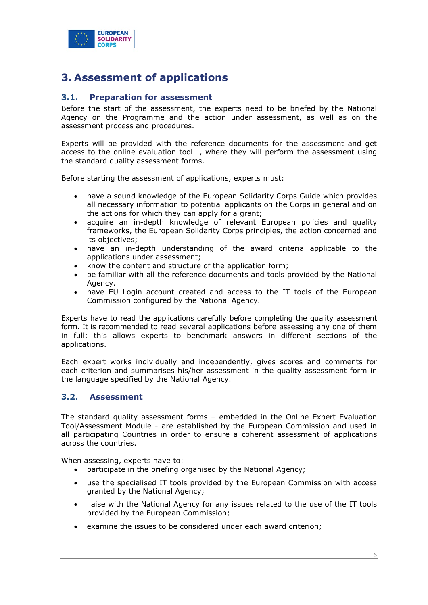

# <span id="page-5-0"></span>**3. Assessment of applications**

#### <span id="page-5-1"></span>**3.1. Preparation for assessment**

Before the start of the assessment, the experts need to be briefed by the National Agency on the Programme and the action under assessment, as well as on the assessment process and procedures.

Experts will be provided with the reference documents for the assessment and get access to the online evaluation tool , where they will perform the assessment using the standard quality assessment forms.

Before starting the assessment of applications, experts must:

- have a sound knowledge of the European Solidarity Corps Guide which provides all necessary information to potential applicants on the Corps in general and on the actions for which they can apply for a grant;
- acquire an in-depth knowledge of relevant European policies and quality frameworks, the European Solidarity Corps principles, the action concerned and its objectives;
- have an in-depth understanding of the award criteria applicable to the applications under assessment;
- know the content and structure of the application form;
- be familiar with all the reference documents and tools provided by the National Agency.
- have EU Login account created and access to the IT tools of the European Commission configured by the National Agency.

Experts have to read the applications carefully before completing the quality assessment form. It is recommended to read several applications before assessing any one of them in full: this allows experts to benchmark answers in different sections of the applications.

Each expert works individually and independently, gives scores and comments for each criterion and summarises his/her assessment in the quality assessment form in the language specified by the National Agency.

#### <span id="page-5-2"></span>**3.2. Assessment**

The standard quality assessment forms – embedded in the Online Expert Evaluation Tool/Assessment Module - are established by the European Commission and used in all participating Countries in order to ensure a coherent assessment of applications across the countries.

When assessing, experts have to:

- participate in the briefing organised by the National Agency;
- use the specialised IT tools provided by the European Commission with access granted by the National Agency;
- liaise with the National Agency for any issues related to the use of the IT tools provided by the European Commission;
- examine the issues to be considered under each award criterion;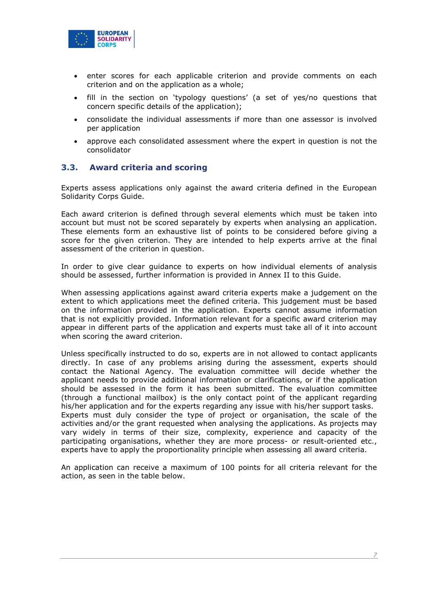

- enter scores for each applicable criterion and provide comments on each criterion and on the application as a whole;
- fill in the section on 'typology questions' (a set of yes/no questions that concern specific details of the application);
- consolidate the individual assessments if more than one assessor is involved per application
- approve each consolidated assessment where the expert in question is not the consolidator

#### <span id="page-6-0"></span>**3.3. Award criteria and scoring**

Experts assess applications only against the award criteria defined in the European Solidarity Corps Guide.

Each award criterion is defined through several elements which must be taken into account but must not be scored separately by experts when analysing an application. These elements form an exhaustive list of points to be considered before giving a score for the given criterion. They are intended to help experts arrive at the final assessment of the criterion in question.

In order to give clear guidance to experts on how individual elements of analysis should be assessed, further information is provided in Annex II to this Guide.

When assessing applications against award criteria experts make a judgement on the extent to which applications meet the defined criteria. This judgement must be based on the information provided in the application. Experts cannot assume information that is not explicitly provided. Information relevant for a specific award criterion may appear in different parts of the application and experts must take all of it into account when scoring the award criterion.

Unless specifically instructed to do so, experts are in not allowed to contact applicants directly. In case of any problems arising during the assessment, experts should contact the National Agency. The evaluation committee will decide whether the applicant needs to provide additional information or clarifications, or if the application should be assessed in the form it has been submitted. The evaluation committee (through a functional mailbox) is the only contact point of the applicant regarding his/her application and for the experts regarding any issue with his/her support tasks. Experts must duly consider the type of project or organisation, the scale of the activities and/or the grant requested when analysing the applications. As projects may vary widely in terms of their size, complexity, experience and capacity of the participating organisations, whether they are more process- or result-oriented etc., experts have to apply the proportionality principle when assessing all award criteria.

An application can receive a maximum of 100 points for all criteria relevant for the action, as seen in the table below.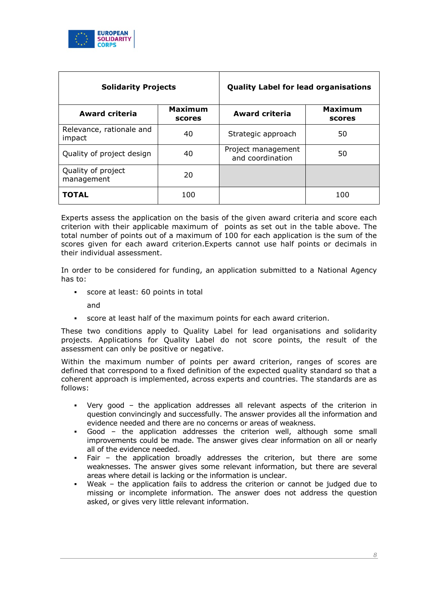

| <b>Solidarity Projects</b>         |                          | <b>Quality Label for lead organisations</b> |                          |
|------------------------------------|--------------------------|---------------------------------------------|--------------------------|
| <b>Award criteria</b>              | <b>Maximum</b><br>scores | <b>Award criteria</b>                       | <b>Maximum</b><br>scores |
| Relevance, rationale and<br>impact | 40                       | Strategic approach                          | 50                       |
| Quality of project design          | 40                       | Project management<br>and coordination      | 50                       |
| Quality of project<br>management   | 20                       |                                             |                          |
| <b>TOTAL</b>                       | 100                      |                                             | 100                      |

Experts assess the application on the basis of the given award criteria and score each criterion with their applicable maximum of points as set out in the table above. The total number of points out of a maximum of 100 for each application is the sum of the scores given for each award criterion.Experts cannot use half points or decimals in their individual assessment.

In order to be considered for funding, an application submitted to a National Agency has to:

score at least: 60 points in total

and

score at least half of the maximum points for each award criterion.

These two conditions apply to Quality Label for lead organisations and solidarity projects. Applications for Quality Label do not score points, the result of the assessment can only be positive or negative.

Within the maximum number of points per award criterion, ranges of scores are defined that correspond to a fixed definition of the expected quality standard so that a coherent approach is implemented, across experts and countries. The standards are as follows:

- Very good the application addresses all relevant aspects of the criterion in question convincingly and successfully. The answer provides all the information and evidence needed and there are no concerns or areas of weakness.
- Good the application addresses the criterion well, although some small improvements could be made. The answer gives clear information on all or nearly all of the evidence needed.
- Fair the application broadly addresses the criterion, but there are some weaknesses. The answer gives some relevant information, but there are several areas where detail is lacking or the information is unclear.
- Weak the application fails to address the criterion or cannot be judged due to missing or incomplete information. The answer does not address the question asked, or gives very little relevant information.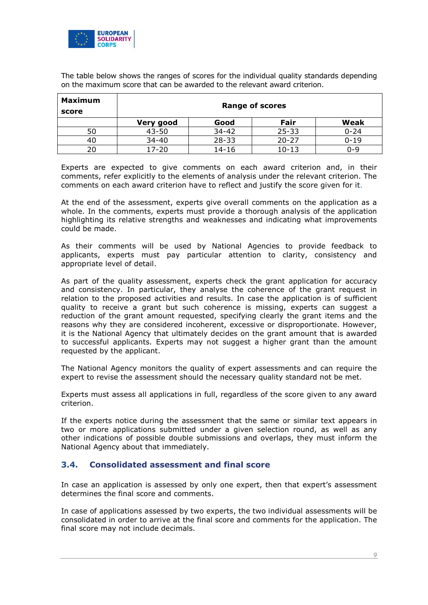

The table below shows the ranges of scores for the individual quality standards depending on the maximum score that can be awarded to the relevant award criterion.

| Maximum<br>score |           |           | <b>Range of scores</b> |          |
|------------------|-----------|-----------|------------------------|----------|
|                  | Very good | Good      | Fair                   | Weak     |
| 50               | $43 - 50$ | 34-42     | $25 - 33$              | $0 - 24$ |
| 40               | $34 - 40$ | $28 - 33$ | $20 - 27$              | $0 - 19$ |
| 20               | 17-20     | 14-16     | 10-13                  | ი-9      |

Experts are expected to give comments on each award criterion and, in their comments, refer explicitly to the elements of analysis under the relevant criterion. The comments on each award criterion have to reflect and justify the score given for it.

At the end of the assessment, experts give overall comments on the application as a whole. In the comments, experts must provide a thorough analysis of the application highlighting its relative strengths and weaknesses and indicating what improvements could be made.

As their comments will be used by National Agencies to provide feedback to applicants, experts must pay particular attention to clarity, consistency and appropriate level of detail.

As part of the quality assessment, experts check the grant application for accuracy and consistency. In particular, they analyse the coherence of the grant request in relation to the proposed activities and results. In case the application is of sufficient quality to receive a grant but such coherence is missing, experts can suggest a reduction of the grant amount requested, specifying clearly the grant items and the reasons why they are considered incoherent, excessive or disproportionate. However, it is the National Agency that ultimately decides on the grant amount that is awarded to successful applicants. Experts may not suggest a higher grant than the amount requested by the applicant.

The National Agency monitors the quality of expert assessments and can require the expert to revise the assessment should the necessary quality standard not be met.

Experts must assess all applications in full, regardless of the score given to any award criterion.

If the experts notice during the assessment that the same or similar text appears in two or more applications submitted under a given selection round, as well as any other indications of possible double submissions and overlaps, they must inform the National Agency about that immediately.

#### <span id="page-8-0"></span>**3.4. Consolidated assessment and final score**

In case an application is assessed by only one expert, then that expert's assessment determines the final score and comments.

In case of applications assessed by two experts, the two individual assessments will be consolidated in order to arrive at the final score and comments for the application. The final score may not include decimals.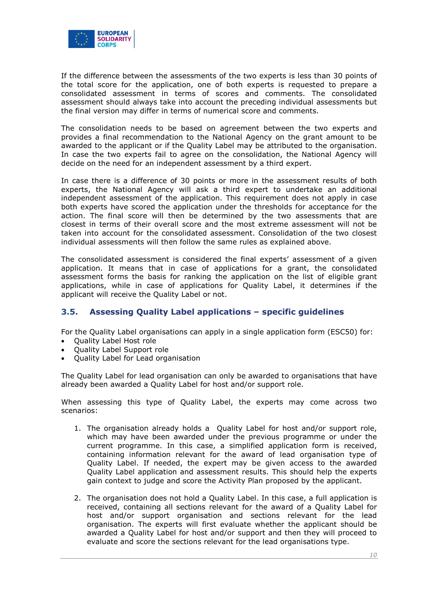

If the difference between the assessments of the two experts is less than 30 points of the total score for the application, one of both experts is requested to prepare a consolidated assessment in terms of scores and comments. The consolidated assessment should always take into account the preceding individual assessments but the final version may differ in terms of numerical score and comments.

The consolidation needs to be based on agreement between the two experts and provides a final recommendation to the National Agency on the grant amount to be awarded to the applicant or if the Quality Label may be attributed to the organisation. In case the two experts fail to agree on the consolidation, the National Agency will decide on the need for an independent assessment by a third expert.

In case there is a difference of 30 points or more in the assessment results of both experts, the National Agency will ask a third expert to undertake an additional independent assessment of the application. This requirement does not apply in case both experts have scored the application under the thresholds for acceptance for the action. The final score will then be determined by the two assessments that are closest in terms of their overall score and the most extreme assessment will not be taken into account for the consolidated assessment. Consolidation of the two closest individual assessments will then follow the same rules as explained above.

The consolidated assessment is considered the final experts' assessment of a given application. It means that in case of applications for a grant, the consolidated assessment forms the basis for ranking the application on the list of eligible grant applications, while in case of applications for Quality Label, it determines if the applicant will receive the Quality Label or not.

# <span id="page-9-0"></span>**3.5. Assessing Quality Label applications – specific guidelines**

For the Quality Label organisations can apply in a single application form (ESC50) for:

- Quality Label Host role
- Quality Label Support role
- Quality Label for Lead organisation

The Quality Label for lead organisation can only be awarded to organisations that have already been awarded a Quality Label for host and/or support role.

When assessing this type of Quality Label, the experts may come across two scenarios:

- 1. The organisation already holds a Quality Label for host and/or support role, which may have been awarded under the previous programme or under the current programme. In this case, a simplified application form is received, containing information relevant for the award of lead organisation type of Quality Label. If needed, the expert may be given access to the awarded Quality Label application and assessment results. This should help the experts gain context to judge and score the Activity Plan proposed by the applicant.
- 2. The organisation does not hold a Quality Label. In this case, a full application is received, containing all sections relevant for the award of a Quality Label for host and/or support organisation and sections relevant for the lead organisation. The experts will first evaluate whether the applicant should be awarded a Quality Label for host and/or support and then they will proceed to evaluate and score the sections relevant for the lead organisations type.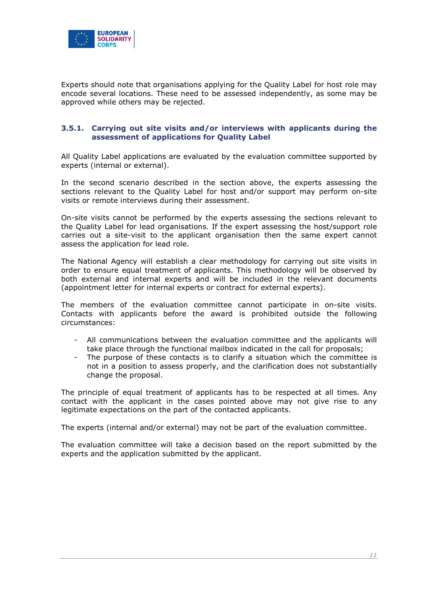

Experts should note that organisations applying for the Quality Label for host role may encode several locations. These need to be assessed independently, as some may be approved while others may be rejected.

#### **3.5.1. Carrying out site visits and/or interviews with applicants during the assessment of applications for Quality Label**

All Quality Label applications are evaluated by the evaluation committee supported by experts (internal or external).

In the second scenario described in the section above, the experts assessing the sections relevant to the Quality Label for host and/or support may perform on-site visits or remote interviews during their assessment.

On-site visits cannot be performed by the experts assessing the sections relevant to the Quality Label for lead organisations. If the expert assessing the host/support role carries out a site-visit to the applicant organisation then the same expert cannot assess the application for lead role.

The National Agency will establish a clear methodology for carrying out site visits in order to ensure equal treatment of applicants. This methodology will be observed by both external and internal experts and will be included in the relevant documents (appointment letter for internal experts or contract for external experts).

The members of the evaluation committee cannot participate in on-site visits. Contacts with applicants before the award is prohibited outside the following circumstances:

- All communications between the evaluation committee and the applicants will take place through the functional mailbox indicated in the call for proposals;
- The purpose of these contacts is to clarify a situation which the committee is not in a position to assess properly, and the clarification does not substantially change the proposal.

The principle of equal treatment of applicants has to be respected at all times. Any contact with the applicant in the cases pointed above may not give rise to any legitimate expectations on the part of the contacted applicants.

The experts (internal and/or external) may not be part of the evaluation committee.

The evaluation committee will take a decision based on the report submitted by the experts and the application submitted by the applicant.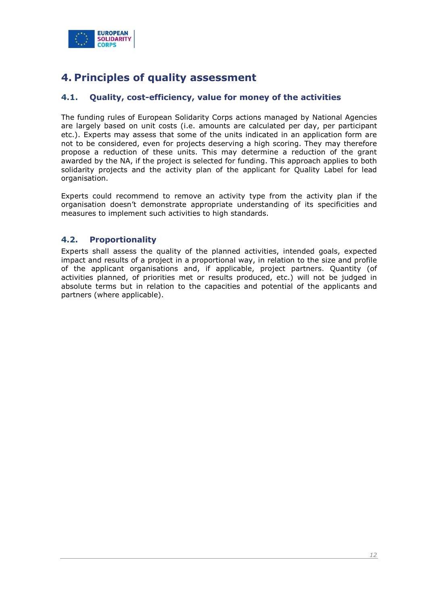

# <span id="page-11-0"></span>**4. Principles of quality assessment**

# <span id="page-11-1"></span>**4.1. Quality, cost-efficiency, value for money of the activities**

The funding rules of European Solidarity Corps actions managed by National Agencies are largely based on unit costs (i.e. amounts are calculated per day, per participant etc.). Experts may assess that some of the units indicated in an application form are not to be considered, even for projects deserving a high scoring. They may therefore propose a reduction of these units. This may determine a reduction of the grant awarded by the NA, if the project is selected for funding. This approach applies to both solidarity projects and the activity plan of the applicant for Quality Label for lead organisation.

Experts could recommend to remove an activity type from the activity plan if the organisation doesn't demonstrate appropriate understanding of its specificities and measures to implement such activities to high standards.

# <span id="page-11-2"></span>**4.2. Proportionality**

Experts shall assess the quality of the planned activities, intended goals, expected impact and results of a project in a proportional way, in relation to the size and profile of the applicant organisations and, if applicable, project partners. Quantity (of activities planned, of priorities met or results produced, etc.) will not be judged in absolute terms but in relation to the capacities and potential of the applicants and partners (where applicable).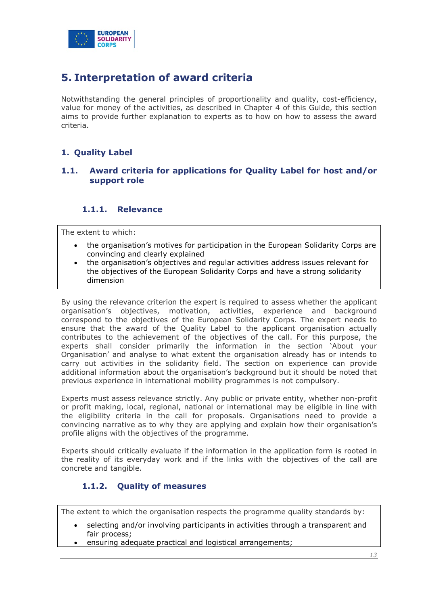

# <span id="page-12-0"></span>**5. Interpretation of award criteria**

Notwithstanding the general principles of proportionality and quality, cost-efficiency, value for money of the activities, as described in Chapter 4 of this Guide, this section aims to provide further explanation to experts as to how on how to assess the award criteria.

# <span id="page-12-1"></span>**1. Quality Label**

## **1.1. Award criteria for applications for Quality Label for host and/or support role**

### **1.1.1. Relevance**

The extent to which:

- the organisation's motives for participation in the European Solidarity Corps are convincing and clearly explained
- the organisation's objectives and regular activities address issues relevant for the objectives of the European Solidarity Corps and have a strong solidarity dimension

By using the relevance criterion the expert is required to assess whether the applicant organisation's objectives, motivation, activities, experience and background correspond to the objectives of the European Solidarity Corps. The expert needs to ensure that the award of the Quality Label to the applicant organisation actually contributes to the achievement of the objectives of the call. For this purpose, the experts shall consider primarily the information in the section 'About your Organisation' and analyse to what extent the organisation already has or intends to carry out activities in the solidarity field. The section on experience can provide additional information about the organisation's background but it should be noted that previous experience in international mobility programmes is not compulsory.

Experts must assess relevance strictly. Any public or private entity, whether non-profit or profit making, local, regional, national or international may be eligible in line with the eligibility criteria in the call for proposals. Organisations need to provide a convincing narrative as to why they are applying and explain how their organisation's profile aligns with the objectives of the programme.

Experts should critically evaluate if the information in the application form is rooted in the reality of its everyday work and if the links with the objectives of the call are concrete and tangible.

# **1.1.2. Quality of measures**

The extent to which the organisation respects the programme quality standards by:

- selecting and/or involving participants in activities through a transparent and fair process;
- ensuring adequate practical and logistical arrangements;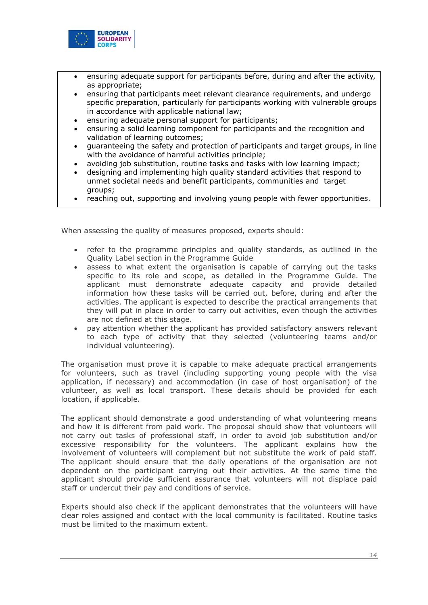

- ensuring adequate support for participants before, during and after the activity, as appropriate;
- ensuring that participants meet relevant clearance requirements, and undergo specific preparation, particularly for participants working with vulnerable groups in accordance with applicable national law;
- ensuring adequate personal support for participants;
- ensuring a solid learning component for participants and the recognition and validation of learning outcomes;
- guaranteeing the safety and protection of participants and target groups, in line with the avoidance of harmful activities principle;
- avoiding job substitution, routine tasks and tasks with low learning impact;
- designing and implementing high quality standard activities that respond to unmet societal needs and benefit participants, communities and target groups;
- reaching out, supporting and involving young people with fewer opportunities.

When assessing the quality of measures proposed, experts should:

- refer to the programme principles and quality standards, as outlined in the Quality Label section in the Programme Guide
- assess to what extent the organisation is capable of carrying out the tasks specific to its role and scope, as detailed in the Programme Guide. The applicant must demonstrate adequate capacity and provide detailed information how these tasks will be carried out, before, during and after the activities. The applicant is expected to describe the practical arrangements that they will put in place in order to carry out activities, even though the activities are not defined at this stage.
- pay attention whether the applicant has provided satisfactory answers relevant to each type of activity that they selected (volunteering teams and/or individual volunteering).

The organisation must prove it is capable to make adequate practical arrangements for volunteers, such as travel (including supporting young people with the visa application, if necessary) and accommodation (in case of host organisation) of the volunteer, as well as local transport. These details should be provided for each location, if applicable.

The applicant should demonstrate a good understanding of what volunteering means and how it is different from paid work. The proposal should show that volunteers will not carry out tasks of professional staff, in order to avoid job substitution and/or excessive responsibility for the volunteers. The applicant explains how the involvement of volunteers will complement but not substitute the work of paid staff. The applicant should ensure that the daily operations of the organisation are not dependent on the participant carrying out their activities. At the same time the applicant should provide sufficient assurance that volunteers will not displace paid staff or undercut their pay and conditions of service.

Experts should also check if the applicant demonstrates that the volunteers will have clear roles assigned and contact with the local community is facilitated. Routine tasks must be limited to the maximum extent.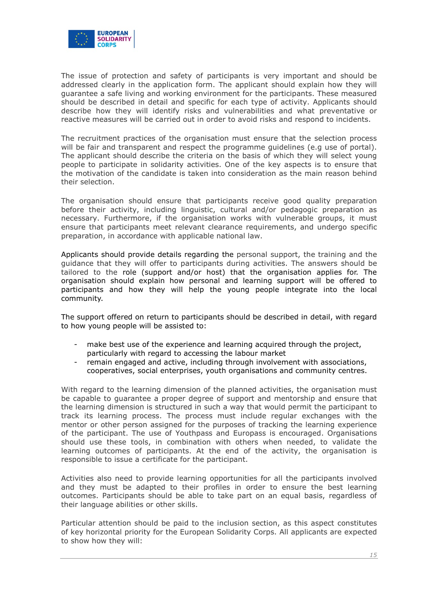

The issue of protection and safety of participants is very important and should be addressed clearly in the application form. The applicant should explain how they will guarantee a safe living and working environment for the participants. These measured should be described in detail and specific for each type of activity. Applicants should describe how they will identify risks and vulnerabilities and what preventative or reactive measures will be carried out in order to avoid risks and respond to incidents.

The recruitment practices of the organisation must ensure that the selection process will be fair and transparent and respect the programme guidelines (e.g use of portal). The applicant should describe the criteria on the basis of which they will select young people to participate in solidarity activities. One of the key aspects is to ensure that the motivation of the candidate is taken into consideration as the main reason behind their selection.

The organisation should ensure that participants receive good quality preparation before their activity, including linguistic, cultural and/or pedagogic preparation as necessary. Furthermore, if the organisation works with vulnerable groups, it must ensure that participants meet relevant clearance requirements, and undergo specific preparation, in accordance with applicable national law.

Applicants should provide details regarding the personal support, the training and the guidance that they will offer to participants during activities. The answers should be tailored to the role (support and/or host) that the organisation applies for. The organisation should explain how personal and learning support will be offered to participants and how they will help the young people integrate into the local community.

The support offered on return to participants should be described in detail, with regard to how young people will be assisted to:

- make best use of the experience and learning acquired through the project, particularly with regard to accessing the labour market
- remain engaged and active, including through involvement with associations, cooperatives, social enterprises, youth organisations and community centres.

With regard to the learning dimension of the planned activities, the organisation must be capable to guarantee a proper degree of support and mentorship and ensure that the learning dimension is structured in such a way that would permit the participant to track its learning process. The process must include regular exchanges with the mentor or other person assigned for the purposes of tracking the learning experience of the participant. The use of Youthpass and Europass is encouraged. Organisations should use these tools, in combination with others when needed, to validate the learning outcomes of participants. At the end of the activity, the organisation is responsible to issue a certificate for the participant.

Activities also need to provide learning opportunities for all the participants involved and they must be adapted to their profiles in order to ensure the best learning outcomes. Participants should be able to take part on an equal basis, regardless of their language abilities or other skills.

Particular attention should be paid to the inclusion section, as this aspect constitutes of key horizontal priority for the European Solidarity Corps. All applicants are expected to show how they will: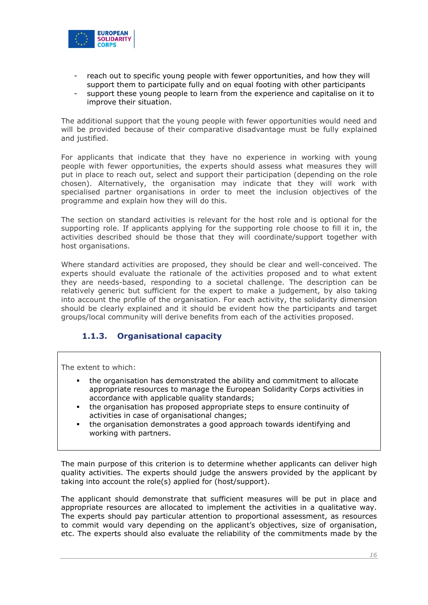

- reach out to specific young people with fewer opportunities, and how they will support them to participate fully and on equal footing with other participants
- support these young people to learn from the experience and capitalise on it to improve their situation.

The additional support that the young people with fewer opportunities would need and will be provided because of their comparative disadvantage must be fully explained and justified.

For applicants that indicate that they have no experience in working with young people with fewer opportunities, the experts should assess what measures they will put in place to reach out, select and support their participation (depending on the role chosen). Alternatively, the organisation may indicate that they will work with specialised partner organisations in order to meet the inclusion objectives of the programme and explain how they will do this.

The section on standard activities is relevant for the host role and is optional for the supporting role. If applicants applying for the supporting role choose to fill it in, the activities described should be those that they will coordinate/support together with host organisations.

Where standard activities are proposed, they should be clear and well-conceived. The experts should evaluate the rationale of the activities proposed and to what extent they are needs-based, responding to a societal challenge. The description can be relatively generic but sufficient for the expert to make a judgement, by also taking into account the profile of the organisation. For each activity, the solidarity dimension should be clearly explained and it should be evident how the participants and target groups/local community will derive benefits from each of the activities proposed.

# **1.1.3. Organisational capacity**

The extent to which:

- the organisation has demonstrated the ability and commitment to allocate appropriate resources to manage the European Solidarity Corps activities in accordance with applicable quality standards;
- the organisation has proposed appropriate steps to ensure continuity of activities in case of organisational changes;
- the organisation demonstrates a good approach towards identifying and working with partners.

The main purpose of this criterion is to determine whether applicants can deliver high quality activities. The experts should judge the answers provided by the applicant by taking into account the role(s) applied for (host/support).

The applicant should demonstrate that sufficient measures will be put in place and appropriate resources are allocated to implement the activities in a qualitative way. The experts should pay particular attention to proportional assessment, as resources to commit would vary depending on the applicant's objectives, size of organisation, etc. The experts should also evaluate the reliability of the commitments made by the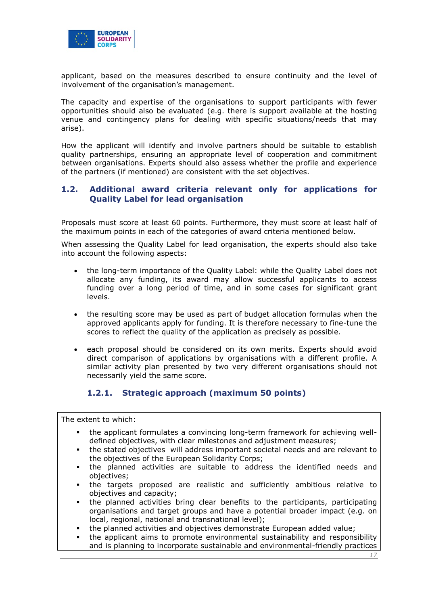

applicant, based on the measures described to ensure continuity and the level of involvement of the organisation's management.

The capacity and expertise of the organisations to support participants with fewer opportunities should also be evaluated (e.g. there is support available at the hosting venue and contingency plans for dealing with specific situations/needs that may arise).

How the applicant will identify and involve partners should be suitable to establish quality partnerships, ensuring an appropriate level of cooperation and commitment between organisations. Experts should also assess whether the profile and experience of the partners (if mentioned) are consistent with the set objectives.

#### **1.2. Additional award criteria relevant only for applications for Quality Label for lead organisation**

Proposals must score at least 60 points. Furthermore, they must score at least half of the maximum points in each of the categories of award criteria mentioned below.

When assessing the Quality Label for lead organisation, the experts should also take into account the following aspects:

- the long-term importance of the Quality Label: while the Quality Label does not allocate any funding, its award may allow successful applicants to access funding over a long period of time, and in some cases for significant grant levels.
- the resulting score may be used as part of budget allocation formulas when the approved applicants apply for funding. It is therefore necessary to fine-tune the scores to reflect the quality of the application as precisely as possible.
- each proposal should be considered on its own merits. Experts should avoid direct comparison of applications by organisations with a different profile. A similar activity plan presented by two very different organisations should not necessarily yield the same score.

# **1.2.1. Strategic approach (maximum 50 points)**

The extent to which:

- the applicant formulates a convincing long-term framework for achieving welldefined objectives, with clear milestones and adjustment measures;
- the stated objectives will address important societal needs and are relevant to the objectives of the European Solidarity Corps;
- the planned activities are suitable to address the identified needs and objectives;
- the targets proposed are realistic and sufficiently ambitious relative to objectives and capacity;
- the planned activities bring clear benefits to the participants, participating organisations and target groups and have a potential broader impact (e.g. on local, regional, national and transnational level);
- the planned activities and objectives demonstrate European added value;
- the applicant aims to promote environmental sustainability and responsibility and is planning to incorporate sustainable and environmental-friendly practices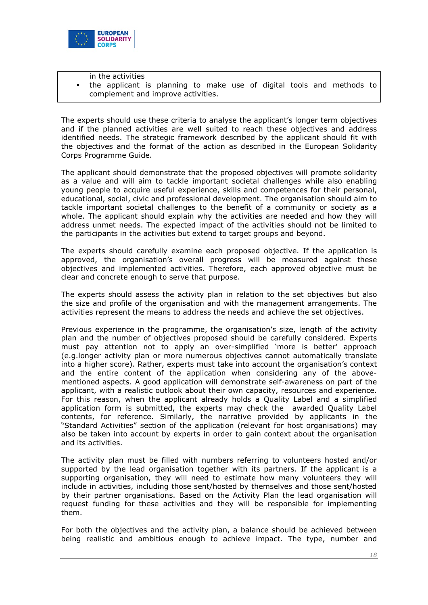

- in the activities
- the applicant is planning to make use of digital tools and methods to complement and improve activities.

The experts should use these criteria to analyse the applicant's longer term objectives and if the planned activities are well suited to reach these objectives and address identified needs. The strategic framework described by the applicant should fit with the objectives and the format of the action as described in the European Solidarity Corps Programme Guide.

The applicant should demonstrate that the proposed objectives will promote solidarity as a value and will aim to tackle important societal challenges while also enabling young people to acquire useful experience, skills and competences for their personal, educational, social, civic and professional development. The organisation should aim to tackle important societal challenges to the benefit of a community or society as a whole. The applicant should explain why the activities are needed and how they will address unmet needs. The expected impact of the activities should not be limited to the participants in the activities but extend to target groups and beyond.

The experts should carefully examine each proposed objective. If the application is approved, the organisation's overall progress will be measured against these objectives and implemented activities. Therefore, each approved objective must be clear and concrete enough to serve that purpose.

The experts should assess the activity plan in relation to the set objectives but also the size and profile of the organisation and with the management arrangements. The activities represent the means to address the needs and achieve the set objectives.

Previous experience in the programme, the organisation's size, length of the activity plan and the number of objectives proposed should be carefully considered. Experts must pay attention not to apply an over-simplified 'more is better' approach (e.g.longer activity plan or more numerous objectives cannot automatically translate into a higher score). Rather, experts must take into account the organisation's context and the entire content of the application when considering any of the abovementioned aspects. A good application will demonstrate self-awareness on part of the applicant, with a realistic outlook about their own capacity, resources and experience. For this reason, when the applicant already holds a Quality Label and a simplified application form is submitted, the experts may check the awarded Quality Label contents, for reference. Similarly, the narrative provided by applicants in the "Standard Activities" section of the application (relevant for host organisations) may also be taken into account by experts in order to gain context about the organisation and its activities.

The activity plan must be filled with numbers referring to volunteers hosted and/or supported by the lead organisation together with its partners. If the applicant is a supporting organisation, they will need to estimate how many volunteers they will include in activities, including those sent/hosted by themselves and those sent/hosted by their partner organisations. Based on the Activity Plan the lead organisation will request funding for these activities and they will be responsible for implementing them.

For both the objectives and the activity plan, a balance should be achieved between being realistic and ambitious enough to achieve impact. The type, number and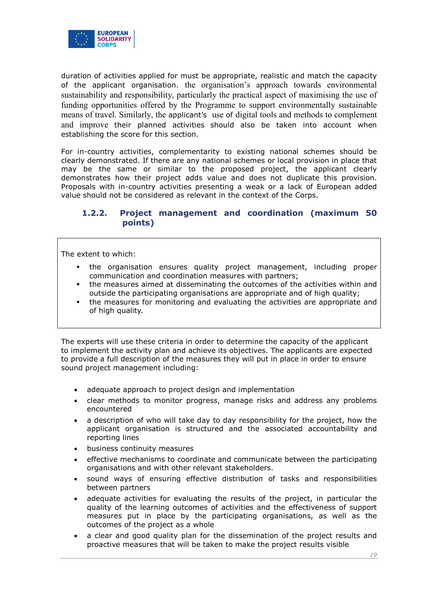

duration of activities applied for must be appropriate, realistic and match the capacity of the applicant organisation. the organisation's approach towards environmental sustainability and responsibility, particularly the practical aspect of maximising the use of funding opportunities offered by the Programme to support environmentally sustainable means of travel. Similarly, the applicant's use of digital tools and methods to complement and improve their planned activities should also be taken into account when establishing the score for this section.

For in-country activities, complementarity to existing national schemes should be clearly demonstrated. If there are any national schemes or local provision in place that may be the same or similar to the proposed project, the applicant clearly demonstrates how their project adds value and does not duplicate this provision. Proposals with in-country activities presenting a weak or a lack of European added value should not be considered as relevant in the context of the Corps.

# **1.2.2. Project management and coordination (maximum 50 points)**

The extent to which:

- the organisation ensures quality project management, including proper communication and coordination measures with partners;
- the measures aimed at disseminating the outcomes of the activities within and outside the participating organisations are appropriate and of high quality;
- the measures for monitoring and evaluating the activities are appropriate and of high quality.

The experts will use these criteria in order to determine the capacity of the applicant to implement the activity plan and achieve its objectives. The applicants are expected to provide a full description of the measures they will put in place in order to ensure sound project management including:

- adequate approach to project design and implementation
- clear methods to monitor progress, manage risks and address any problems encountered
- a description of who will take day to day responsibility for the project, how the applicant organisation is structured and the associated accountability and reporting lines
- business continuity measures
- effective mechanisms to coordinate and communicate between the participating organisations and with other relevant stakeholders.
- sound ways of ensuring effective distribution of tasks and responsibilities between partners
- adequate activities for evaluating the results of the project, in particular the quality of the learning outcomes of activities and the effectiveness of support measures put in place by the participating organisations, as well as the outcomes of the project as a whole
- a clear and good quality plan for the dissemination of the project results and proactive measures that will be taken to make the project results visible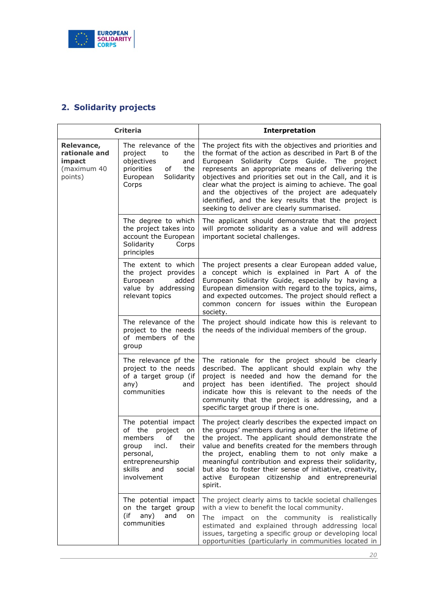

# <span id="page-19-0"></span>**2. Solidarity projects**

| <b>Criteria</b>                                                 |                                                                                                                                                                         | <b>Interpretation</b>                                                                                                                                                                                                                                                                                                                                                                                                                                                                                   |
|-----------------------------------------------------------------|-------------------------------------------------------------------------------------------------------------------------------------------------------------------------|---------------------------------------------------------------------------------------------------------------------------------------------------------------------------------------------------------------------------------------------------------------------------------------------------------------------------------------------------------------------------------------------------------------------------------------------------------------------------------------------------------|
| Relevance,<br>rationale and<br>impact<br>(maximum 40<br>points) | The relevance of the<br>project<br>the<br>to<br>objectives<br>and<br>priorities<br>0f<br>the<br>Solidarity<br>European<br>Corps                                         | The project fits with the objectives and priorities and<br>the format of the action as described in Part B of the<br>Solidarity Corps Guide. The project<br>European<br>represents an appropriate means of delivering the<br>objectives and priorities set out in the Call, and it is<br>clear what the project is aiming to achieve. The goal<br>and the objectives of the project are adequately<br>identified, and the key results that the project is<br>seeking to deliver are clearly summarised. |
|                                                                 | The degree to which<br>the project takes into<br>account the European<br>Solidarity<br>Corps<br>principles                                                              | The applicant should demonstrate that the project<br>will promote solidarity as a value and will address<br>important societal challenges.                                                                                                                                                                                                                                                                                                                                                              |
|                                                                 | The extent to which<br>the project provides<br>European<br>added<br>value by addressing<br>relevant topics                                                              | The project presents a clear European added value,<br>a concept which is explained in Part A of the<br>European Solidarity Guide, especially by having a<br>European dimension with regard to the topics, aims,<br>and expected outcomes. The project should reflect a<br>common concern for issues within the European<br>society.                                                                                                                                                                     |
|                                                                 | The relevance of the<br>project to the needs<br>of members of the<br>group                                                                                              | The project should indicate how this is relevant to<br>the needs of the individual members of the group.                                                                                                                                                                                                                                                                                                                                                                                                |
|                                                                 | The relevance pf the<br>project to the needs<br>of a target group (if<br>any)<br>and<br>communities                                                                     | The rationale for the project should be clearly<br>described. The applicant should explain why the<br>project is needed and how the demand for the<br>project has been identified. The project should<br>indicate how this is relevant to the needs of the<br>community that the project is addressing, and a<br>specific target group if there is one.                                                                                                                                                 |
|                                                                 | The potential impact<br>of the<br>project<br>on<br>members<br>of<br>the<br>group incl. their<br>personal,<br>entrepreneurship<br>skills<br>and<br>social<br>involvement | The project clearly describes the expected impact on<br>the groups' members during and after the lifetime of<br>the project. The applicant should demonstrate the<br>value and benefits created for the members through<br>the project, enabling them to not only make a<br>meaningful contribution and express their solidarity,<br>but also to foster their sense of initiative, creativity,<br>active European citizenship and entrepreneurial<br>spirit.                                            |
|                                                                 | The potential impact<br>on the target group<br>(if<br>any)<br>and<br>on<br>communities                                                                                  | The project clearly aims to tackle societal challenges<br>with a view to benefit the local community.<br>The impact on the community is realistically<br>estimated and explained through addressing local<br>issues, targeting a specific group or developing local<br>opportunities (particularly in communities located in                                                                                                                                                                            |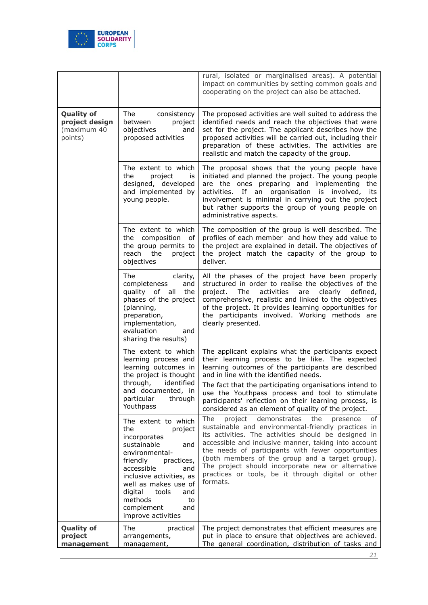

|                                                               |                                                                                                                                                                                                                                                                                         | rural, isolated or marginalised areas). A potential<br>impact on communities by setting common goals and<br>cooperating on the project can also be attached.                                                                                                                                                                                                                                                                                                   |
|---------------------------------------------------------------|-----------------------------------------------------------------------------------------------------------------------------------------------------------------------------------------------------------------------------------------------------------------------------------------|----------------------------------------------------------------------------------------------------------------------------------------------------------------------------------------------------------------------------------------------------------------------------------------------------------------------------------------------------------------------------------------------------------------------------------------------------------------|
| <b>Quality of</b><br>project design<br>(maximum 40<br>points) | The consistency<br>between<br>project<br>objectives<br>and<br>proposed activities                                                                                                                                                                                                       | The proposed activities are well suited to address the<br>identified needs and reach the objectives that were<br>set for the project. The applicant describes how the<br>proposed activities will be carried out, including their<br>preparation of these activities. The activities are<br>realistic and match the capacity of the group.                                                                                                                     |
|                                                               | The extent to which<br>the<br>project<br>is<br>designed, developed<br>and implemented by<br>young people.                                                                                                                                                                               | The proposal shows that the young people have<br>initiated and planned the project. The young people<br>are the ones preparing and implementing the<br>activities. If an organisation is involved, its<br>involvement is minimal in carrying out the project<br>but rather supports the group of young people on<br>administrative aspects.                                                                                                                    |
|                                                               | The extent to which<br>the composition<br>of<br>the group permits to<br>reach<br>the<br>project<br>objectives                                                                                                                                                                           | The composition of the group is well described. The<br>profiles of each member and how they add value to<br>the project are explained in detail. The objectives of<br>the project match the capacity of the group to<br>deliver.                                                                                                                                                                                                                               |
|                                                               | The<br>clarity,<br>completeness<br>and<br>quality of all<br>the<br>phases of the project<br>(planning,<br>preparation,<br>implementation,<br>evaluation<br>and<br>sharing the results)                                                                                                  | All the phases of the project have been properly<br>structured in order to realise the objectives of the<br>activities<br>project.<br>The<br>are<br>clearly<br>defined,<br>comprehensive, realistic and linked to the objectives<br>of the project. It provides learning opportunities for<br>the participants involved. Working methods are<br>clearly presented.                                                                                             |
|                                                               | The extent to which<br>learning process and<br>learning outcomes in<br>the project is thought<br>through,<br>identified<br>and documented, in<br>particular<br>through<br>Youthpass                                                                                                     | The applicant explains what the participants expect<br>their learning process to be like. The expected<br>learning outcomes of the participants are described<br>and in line with the identified needs.<br>The fact that the participating organisations intend to<br>use the Youthpass process and tool to stimulate<br>participants' reflection on their learning process, is<br>considered as an element of quality of the project.                         |
|                                                               | The extent to which<br>the<br>project<br>incorporates<br>sustainable<br>and<br>environmental-<br>friendly<br>practices,<br>accessible<br>and<br>inclusive activities, as<br>well as makes use of<br>digital<br>tools<br>and<br>methods<br>to<br>complement<br>and<br>improve activities | The<br>the<br>of<br>project<br>demonstrates<br>presence<br>sustainable and environmental-friendly practices in<br>its activities. The activities should be designed in<br>accessible and inclusive manner, taking into account<br>the needs of participants with fewer opportunities<br>(both members of the group and a target group).<br>The project should incorporate new or alternative<br>practices or tools, be it through digital or other<br>formats. |
| <b>Quality of</b><br>project<br>management                    | The<br>practical<br>arrangements,<br>management,                                                                                                                                                                                                                                        | The project demonstrates that efficient measures are<br>put in place to ensure that objectives are achieved.<br>The general coordination, distribution of tasks and                                                                                                                                                                                                                                                                                            |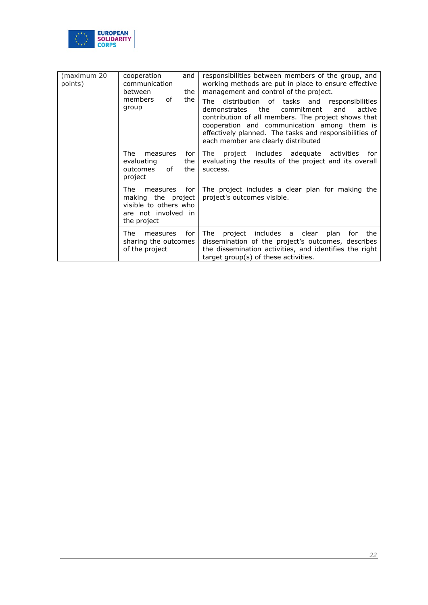

| (maximum 20<br>points) | cooperation<br>and<br>communication<br>between<br>the<br>the<br>οf<br>members<br>group                       | responsibilities between members of the group, and<br>working methods are put in place to ensure effective<br>management and control of the project.<br>distribution of tasks and<br>The<br>responsibilities<br>the<br>commitment<br>and<br>active<br>demonstrates<br>contribution of all members. The project shows that<br>cooperation and communication among them is<br>effectively planned. The tasks and responsibilities of<br>each member are clearly distributed |
|------------------------|--------------------------------------------------------------------------------------------------------------|---------------------------------------------------------------------------------------------------------------------------------------------------------------------------------------------------------------------------------------------------------------------------------------------------------------------------------------------------------------------------------------------------------------------------------------------------------------------------|
|                        | The.<br>for<br>measures<br>evaluating<br>the<br>οf<br>the<br>outcomes<br>project                             | project includes adequate activities<br>The<br>for for<br>evaluating the results of the project and its overall<br>success.                                                                                                                                                                                                                                                                                                                                               |
|                        | The.<br>for<br>measures<br>making the project<br>visible to others who<br>are not involved in<br>the project | The project includes a clear plan for making the<br>project's outcomes visible.                                                                                                                                                                                                                                                                                                                                                                                           |
|                        | The<br>for<br>measures<br>sharing the outcomes<br>of the project                                             | project includes a clear plan for<br>The<br>the<br>dissemination of the project's outcomes, describes<br>the dissemination activities, and identifies the right<br>target group(s) of these activities.                                                                                                                                                                                                                                                                   |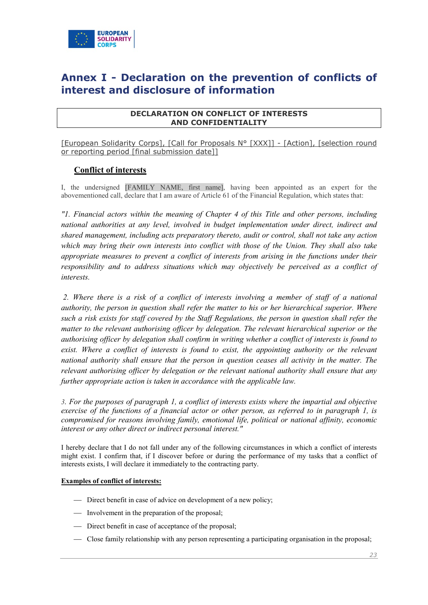

# <span id="page-22-0"></span>**Annex I - Declaration on the prevention of conflicts of interest and disclosure of information**

#### **DECLARATION ON CONFLICT OF INTERESTS AND CONFIDENTIALITY**

[European Solidarity Corps], [Call for Proposals N° [XXX]] - [Action], [selection round or reporting period [final submission date]]

# **Conflict of interests**

I, the undersigned [FAMILY NAME, first name], having been appointed as an expert for the abovementioned call, declare that I am aware of Article 61 of the Financial Regulation, which states that:

*"1. Financial actors within the meaning of Chapter 4 of this Title and other persons, including national authorities at any level, involved in budget implementation under direct, indirect and shared management, including acts preparatory thereto, audit or control, shall not take any action which may bring their own interests into conflict with those of the Union. They shall also take appropriate measures to prevent a conflict of interests from arising in the functions under their responsibility and to address situations which may objectively be perceived as a conflict of interests.*

*2. Where there is a risk of a conflict of interests involving a member of staff of a national authority, the person in question shall refer the matter to his or her hierarchical superior. Where such a risk exists for staff covered by the Staff Regulations, the person in question shall refer the matter to the relevant authorising officer by delegation. The relevant hierarchical superior or the authorising officer by delegation shall confirm in writing whether a conflict of interests is found to exist. Where a conflict of interests is found to exist, the appointing authority or the relevant national authority shall ensure that the person in question ceases all activity in the matter. The relevant authorising officer by delegation or the relevant national authority shall ensure that any further appropriate action is taken in accordance with the applicable law.* 

*3. For the purposes of paragraph 1, a conflict of interests exists where the impartial and objective exercise of the functions of a financial actor or other person, as referred to in paragraph 1, is compromised for reasons involving family, emotional life, political or national affinity, economic interest or any other direct or indirect personal interest."*

I hereby declare that I do not fall under any of the following circumstances in which a conflict of interests might exist. I confirm that, if I discover before or during the performance of my tasks that a conflict of interests exists, I will declare it immediately to the contracting party.

#### **Examples of conflict of interests:**

- Direct benefit in case of advice on development of a new policy;
- Involvement in the preparation of the proposal;
- Direct benefit in case of acceptance of the proposal;
- Close family relationship with any person representing a participating organisation in the proposal;